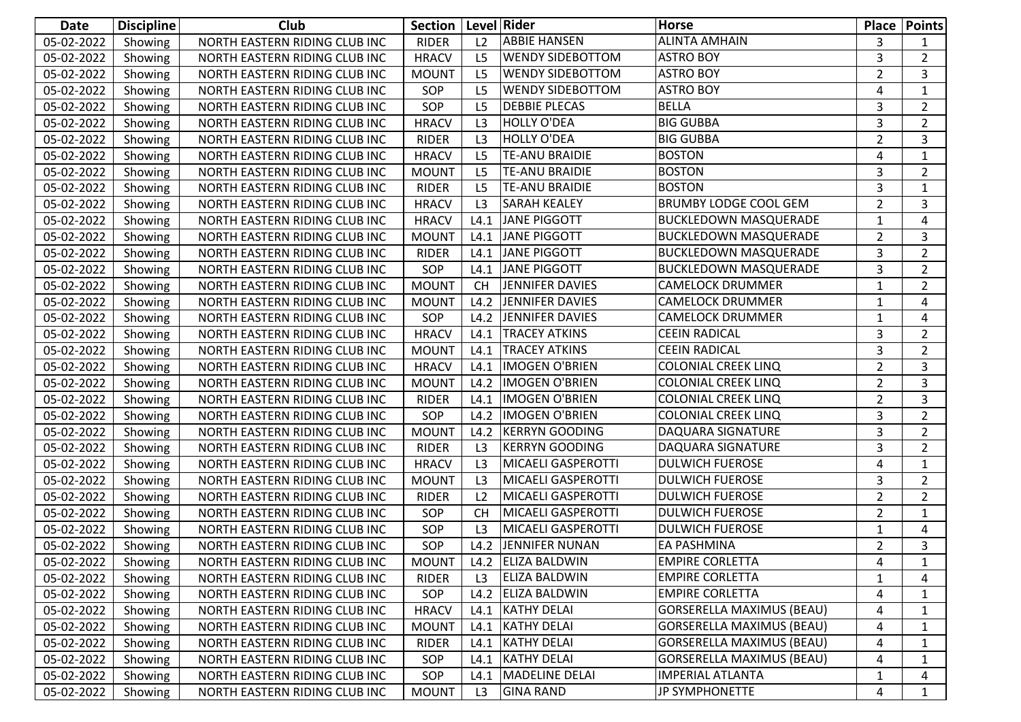| Date                 | <b>Discipline</b> | Club                          | Section      | Level Rider    |                           | <b>Horse</b>                     |                         | <b>Place   Points</b> |
|----------------------|-------------------|-------------------------------|--------------|----------------|---------------------------|----------------------------------|-------------------------|-----------------------|
| 05-02-2022           | Showing           | NORTH EASTERN RIDING CLUB INC | <b>RIDER</b> | L2             | <b>ABBIE HANSEN</b>       | <b>ALINTA AMHAIN</b>             | 3                       | 1                     |
| 05-02-2022           | Showing           | NORTH EASTERN RIDING CLUB INC | <b>HRACV</b> | L <sub>5</sub> | <b>WENDY SIDEBOTTOM</b>   | <b>ASTRO BOY</b>                 | 3                       | $\overline{2}$        |
| 05-02-2022           | Showing           | NORTH EASTERN RIDING CLUB INC | <b>MOUNT</b> | L <sub>5</sub> | <b>WENDY SIDEBOTTOM</b>   | <b>ASTRO BOY</b>                 | $\overline{2}$          | 3                     |
| 05-02-2022           | Showing           | NORTH EASTERN RIDING CLUB INC | SOP          | L <sub>5</sub> | <b>WENDY SIDEBOTTOM</b>   | <b>ASTRO BOY</b>                 | $\overline{4}$          | $\mathbf{1}$          |
| 05-02-2022           | Showing           | NORTH EASTERN RIDING CLUB INC | SOP          | L <sub>5</sub> | <b>DEBBIE PLECAS</b>      | <b>BELLA</b>                     | 3                       | $\overline{2}$        |
| 05-02-2022           | Showing           | NORTH EASTERN RIDING CLUB INC | <b>HRACV</b> | L <sub>3</sub> | <b>HOLLY O'DEA</b>        | <b>BIG GUBBA</b>                 | 3                       | $\overline{2}$        |
| 05-02-2022           | Showing           | NORTH EASTERN RIDING CLUB INC | <b>RIDER</b> | L <sub>3</sub> | <b>HOLLY O'DEA</b>        | <b>BIG GUBBA</b>                 | $\overline{2}$          | 3                     |
| 05-02-2022           | Showing           | NORTH EASTERN RIDING CLUB INC | <b>HRACV</b> | L <sub>5</sub> | <b>TE-ANU BRAIDIE</b>     | <b>BOSTON</b>                    | $\overline{a}$          | $\mathbf{1}$          |
| 05-02-2022           | Showing           | NORTH EASTERN RIDING CLUB INC | <b>MOUNT</b> | L <sub>5</sub> | <b>TE-ANU BRAIDIE</b>     | <b>BOSTON</b>                    | 3                       | $\overline{2}$        |
| 05-02-2022           | Showing           | NORTH EASTERN RIDING CLUB INC | <b>RIDER</b> | L <sub>5</sub> | <b>TE-ANU BRAIDIE</b>     | <b>BOSTON</b>                    | 3                       | $\mathbf{1}$          |
| 05-02-2022           | Showing           | NORTH EASTERN RIDING CLUB INC | <b>HRACV</b> | L <sub>3</sub> | <b>SARAH KEALEY</b>       | <b>BRUMBY LODGE COOL GEM</b>     | $\overline{2}$          | 3                     |
| 05-02-2022           | Showing           | NORTH EASTERN RIDING CLUB INC | <b>HRACV</b> | L4.1           | <b>JANE PIGGOTT</b>       | <b>BUCKLEDOWN MASQUERADE</b>     | 1                       | 4                     |
| 05-02-2022           | Showing           | NORTH EASTERN RIDING CLUB INC | <b>MOUNT</b> | L4.1           | <b>JANE PIGGOTT</b>       | <b>BUCKLEDOWN MASQUERADE</b>     | $\overline{2}$          | 3                     |
| 05-02-2022           | Showing           | NORTH EASTERN RIDING CLUB INC | <b>RIDER</b> | L4.1           | <b>JANE PIGGOTT</b>       | <b>BUCKLEDOWN MASQUERADE</b>     | 3                       | $\overline{2}$        |
| 05-02-2022           | Showing           | NORTH EASTERN RIDING CLUB INC | SOP          | L4.1           | JANE PIGGOTT              | <b>BUCKLEDOWN MASQUERADE</b>     | 3                       | $\overline{2}$        |
| 05-02-2022           | Showing           | NORTH EASTERN RIDING CLUB INC | <b>MOUNT</b> | <b>CH</b>      | <b>JENNIFER DAVIES</b>    | <b>CAMELOCK DRUMMER</b>          | $\mathbf{1}$            | $\overline{2}$        |
| 05-02-2022           | Showing           | NORTH EASTERN RIDING CLUB INC | <b>MOUNT</b> | L4.2           | JENNIFER DAVIES           | CAMELOCK DRUMMER                 | 1                       | 4                     |
| 05-02-2022           | Showing           | NORTH EASTERN RIDING CLUB INC | SOP          | L4.2           | JENNIFER DAVIES           | <b>CAMELOCK DRUMMER</b>          | $\mathbf{1}$            | 4                     |
| 05-02-2022           | Showing           | NORTH EASTERN RIDING CLUB INC | <b>HRACV</b> | L4.1           | <b>TRACEY ATKINS</b>      | <b>CEEIN RADICAL</b>             | 3                       | $\overline{2}$        |
| 05-02-2022           | Showing           | NORTH EASTERN RIDING CLUB INC | <b>MOUNT</b> | L4.1           | <b>TRACEY ATKINS</b>      | <b>CEEIN RADICAL</b>             | 3                       | $\overline{2}$        |
| 05-02-2022           | Showing           | NORTH EASTERN RIDING CLUB INC | <b>HRACV</b> | L4.1           | <b>IMOGEN O'BRIEN</b>     | <b>COLONIAL CREEK LINQ</b>       | $\overline{2}$          | $\overline{3}$        |
| 05-02-2022           | Showing           | NORTH EASTERN RIDING CLUB INC | <b>MOUNT</b> | L4.2           | <b>IMOGEN O'BRIEN</b>     | <b>COLONIAL CREEK LINQ</b>       | $\overline{2}$          | 3                     |
| 05-02-2022           | Showing           | NORTH EASTERN RIDING CLUB INC | <b>RIDER</b> | L4.1           | <b>IMOGEN O'BRIEN</b>     | <b>COLONIAL CREEK LINQ</b>       | $\overline{2}$          | 3                     |
| 05-02-2022           | Showing           | NORTH EASTERN RIDING CLUB INC | SOP          | L4.2           | <b>IMOGEN O'BRIEN</b>     | <b>COLONIAL CREEK LINQ</b>       | 3                       | $\overline{2}$        |
| 05-02-2022           | Showing           | NORTH EASTERN RIDING CLUB INC | <b>MOUNT</b> | L4.2           | <b>KERRYN GOODING</b>     | DAQUARA SIGNATURE                | 3                       | $\overline{2}$        |
| 05-02-2022           | Showing           | NORTH EASTERN RIDING CLUB INC | <b>RIDER</b> | L <sub>3</sub> | <b>KERRYN GOODING</b>     | DAQUARA SIGNATURE                | 3                       | $2^{\circ}$           |
| 05-02-2022           | Showing           | NORTH EASTERN RIDING CLUB INC | <b>HRACV</b> | L <sub>3</sub> | MICAELI GASPEROTTI        | <b>DULWICH FUEROSE</b>           | $\overline{\mathbf{4}}$ | $\mathbf{1}$          |
| 05-02-2022           | Showing           | NORTH EASTERN RIDING CLUB INC | <b>MOUNT</b> | L <sub>3</sub> | MICAELI GASPEROTTI        | <b>DULWICH FUEROSE</b>           | 3                       | $\overline{2}$        |
| 05-02-2022           | Showing           | NORTH EASTERN RIDING CLUB INC | <b>RIDER</b> | L <sub>2</sub> | MICAELI GASPEROTTI        | <b>DULWICH FUEROSE</b>           | $\overline{2}$          | $\overline{2}$        |
| 05-02-2022           | Showing           | NORTH EASTERN RIDING CLUB INC | SOP          | <b>CH</b>      | MICAELI GASPEROTTI        | <b>DULWICH FUEROSE</b>           | $\overline{2}$          | $\mathbf{1}$          |
| 05-02-2022           | Showing           | NORTH EASTERN RIDING CLUB INC | SOP          | L <sub>3</sub> | <b>MICAELI GASPEROTTI</b> | <b>DULWICH FUEROSE</b>           | 1                       | 4                     |
| 05-02-2022           | Showing           | NORTH EASTERN RIDING CLUB INC | SOP          |                | L4.2 JENNIFER NUNAN       | EA PASHMINA                      | $\overline{2}$          | 3                     |
| 05-02-2022   Showing |                   | NORTH EASTERN RIDING CLUB INC | MOUNT        |                | L4.2 ELIZA BALDWIN        | <b>EMPIRE CORLETTA</b>           | 4                       | $\overline{1}$        |
| 05-02-2022           | Showing           | NORTH EASTERN RIDING CLUB INC | <b>RIDER</b> | L <sub>3</sub> | <b>ELIZA BALDWIN</b>      | <b>EMPIRE CORLETTA</b>           | 1                       | 4                     |
| 05-02-2022           | Showing           | NORTH EASTERN RIDING CLUB INC | SOP          |                | L4.2 ELIZA BALDWIN        | <b>EMPIRE CORLETTA</b>           | 4                       | $\mathbf{1}$          |
| 05-02-2022           | Showing           | NORTH EASTERN RIDING CLUB INC | <b>HRACV</b> |                | L4.1   KATHY DELAI        | <b>GORSERELLA MAXIMUS (BEAU)</b> | 4                       | $\mathbf{1}$          |
| 05-02-2022           | Showing           | NORTH EASTERN RIDING CLUB INC | <b>MOUNT</b> |                | L4.1   KATHY DELAI        | <b>GORSERELLA MAXIMUS (BEAU)</b> | 4                       | 1                     |
| 05-02-2022           | Showing           | NORTH EASTERN RIDING CLUB INC | <b>RIDER</b> |                | L4.1   KATHY DELAI        | <b>GORSERELLA MAXIMUS (BEAU)</b> | 4                       | 1                     |
| 05-02-2022           | Showing           | NORTH EASTERN RIDING CLUB INC | SOP          |                | L4.1   KATHY DELAI        | <b>GORSERELLA MAXIMUS (BEAU)</b> | 4                       | 1                     |
| 05-02-2022           | Showing           | NORTH EASTERN RIDING CLUB INC | SOP          | L4.1           | MADELINE DELAI            | <b>IMPERIAL ATLANTA</b>          | 1                       | 4                     |
| 05-02-2022           | Showing           | NORTH EASTERN RIDING CLUB INC | <b>MOUNT</b> | L3             | <b>GINA RAND</b>          | JP SYMPHONETTE                   | 4                       | $\mathbf{1}$          |